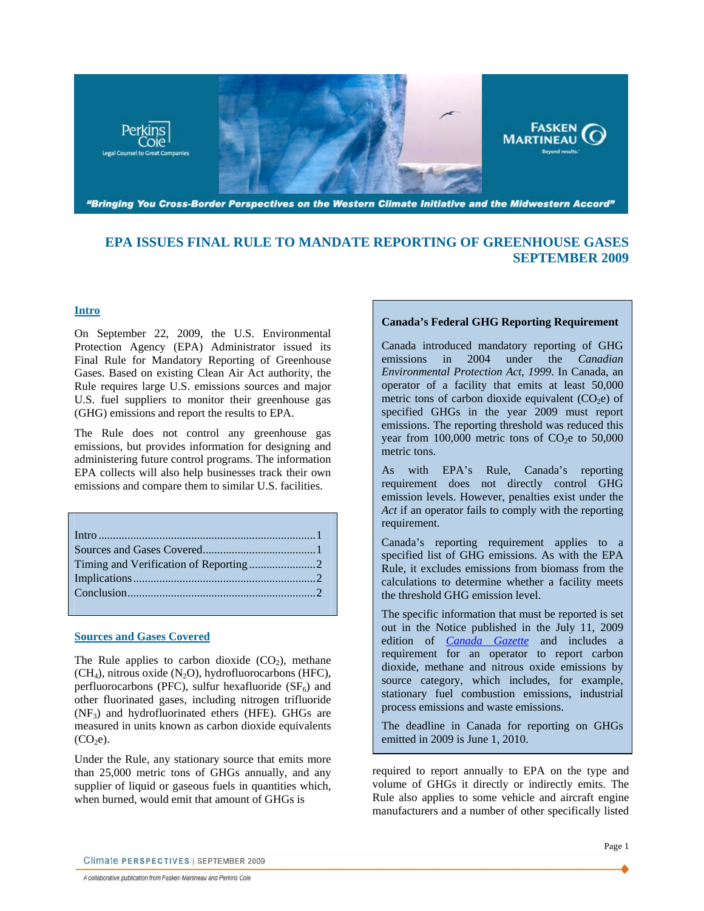<span id="page-0-0"></span>

**EPA ISSUES FINAL RULE TO MANDATE REPORTING OF GREENHOUSE GASES SEPTEMBER 2009** 

## **Intro**

On September 22, 2009, the U.S. Environmental Protection Agency (EPA) Administrator issued its Final Rule for Mandatory Reporting of Greenhouse Gases. Based on existing Clean Air Act authority, the Rule requires large U.S. emissions sources and major U.S. fuel suppliers to monitor their greenhouse gas (GHG) emissions and report the results to EPA.

The Rule does not control any greenhouse gas emissions, but provides information for designing and administering future control programs. The information EPA collects will also help businesses track their own emissions and compare them to similar U.S. facilities.

### **Sources and Gases Covered**

The Rule applies to carbon dioxide  $(CO<sub>2</sub>)$ , methane  $(CH<sub>4</sub>)$ , nitrous oxide  $(N<sub>2</sub>O)$ , hydrofluorocarbons (HFC), perfluorocarbons (PFC), sulfur hexafluoride  $(SF_6)$  and other fluorinated gases, including nitrogen trifluoride  $(NF_3)$  and hydrofluorinated ethers (HFE). GHGs are measured in units known as carbon dioxide equivalents  $(CO<sub>2</sub>e).$ 

Under the Rule, any stationary source that emits more than 25,000 metric tons of GHGs annually, and any supplier of liquid or gaseous fuels in quantities which, when burned, would emit that amount of GHGs is

## **Canada's Federal GHG Reporting Requirement**

Canada introduced mandatory reporting of GHG emissions in 2004 under the *Canadian Environmental Protection Act*, *1999*. In Canada, an operator of a facility that emits at least 50,000 metric tons of carbon dioxide equivalent  $(CO<sub>2</sub>e)$  of specified GHGs in the year 2009 must report emissions. The reporting threshold was reduced this year from 100,000 metric tons of  $CO<sub>2</sub>e$  to 50,000 metric tons.

As with EPA's Rule, Canada's reporting requirement does not directly control GHG emission levels. However, penalties exist under the *Act* if an operator fails to comply with the reporting requirement.

Canada's reporting requirement applies to a specified list of GHG emissions. As with the EPA Rule, it excludes emissions from biomass from the calculations to determine whether a facility meets the threshold GHG emission level.

The specific information that must be reported is set out in the Notice published in the July 11, 2009 edition of *[Canada Gazette](http://www.gazette.gc.ca/rp-pr/p1/2009/2009-07-11/html/notice-avis-eng.html#d101)* and includes a requirement for an operator to report carbon dioxide, methane and nitrous oxide emissions by source category, which includes, for example, stationary fuel combustion emissions, industrial process emissions and waste emissions.

The deadline in Canada for reporting on GHGs emitted in 2009 is June 1, 2010.

required to report annually to EPA on the type and volume of GHGs it directly or indirectly emits. The Rule also applies to some vehicle and aircraft engine manufacturers and a number of other specifically listed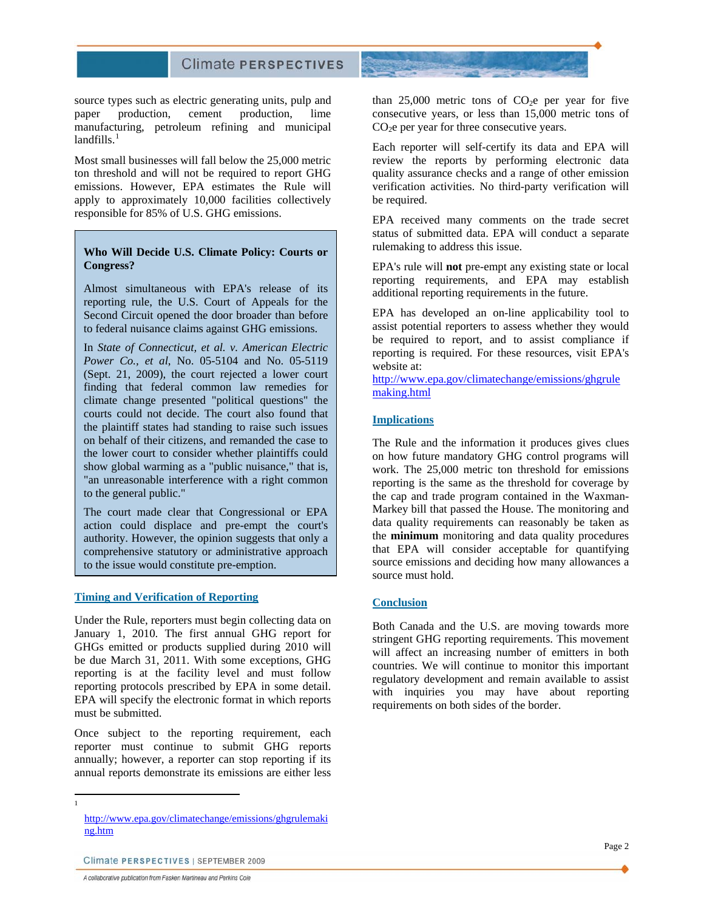# **Climate PERSPECTIVES**

<span id="page-1-0"></span>source types such as electric generating units, pulp and paper production, cement production, lime manufacturing, petroleum refining and municipal landfills. $<sup>1</sup>$  $<sup>1</sup>$  $<sup>1</sup>$ </sup>

Most small businesses will fall below the 25,000 metric ton threshold and will not be required to report GHG emissions. However, EPA estimates the Rule will apply to approximately 10,000 facilities collectively responsible for 85% of U.S. GHG emissions.

# rulemaking to address this issue. **Who Will Decide U.S. Climate Policy: Courts or Congress?**

Almost simultaneous with EPA's release of its reporting rule, the U.S. Court of Appeals for the Second Circuit opened the door broader than before to federal nuisance claims against GHG emissions.

In *State of Connecticut, et al. v. American Electric Power Co., et al*, No. 05-5104 and No. 05-5119 (Sept. 21, 2009), the court rejected a lower court finding that federal common law remedies for climate change presented "political questions" the courts could not decide. The court also found that the plaintiff states had standing to raise such issues on behalf of their citizens, and remanded the case to the lower court to consider whether plaintiffs could show global warming as a "public nuisance," that is, "an unreasonable interference with a right common to the general public."

The court made clear that Congressional or EPA action could displace and pre-empt the court's authority. However, the opinion suggests that only a comprehensive statutory or administrative approach to the issue would constitute pre-emption.

#### **Timing and Verification of Reporting**

Under the Rule, reporters must begin collecting data on January 1, 2010. The first annual GHG report for GHGs emitted or products supplied during 2010 will be due March 31, 2011. With some exceptions, GHG reporting is at the facility level and must follow reporting protocols prescribed by EPA in some detail. EPA will specify the electronic format in which reports must be submitted.

Once subject to the reporting requirement, each reporter must continue to submit GHG reports annually; however, a reporter can stop reporting if its annual reports demonstrate its emissions are either less than  $25,000$  metric tons of  $CO<sub>2</sub>e$  per year for five consecutive years, or less than 15,000 metric tons of  $CO<sub>2</sub>e$  per year for three consecutive years.

Each reporter will self-certify its data and EPA will review the reports by performing electronic data quality assurance checks and a range of other emission verification activities. No third-party verification will be required.

EPA received many comments on the trade secret status of submitted data. EPA will conduct a separate

EPA's rule will **not** pre-empt any existing state or local reporting requirements, and EPA may establish additional reporting requirements in the future.

EPA has developed an on-line applicability tool to assist potential reporters to assess whether they would be required to report, and to assist compliance if reporting is required. For these resources, visit EPA's website at:

[http://www.epa.gov/climatechange/emissions/ghgrule](http://www.epa.gov/climatechange/emissions/ghgrulemaking.html) [making.html](http://www.epa.gov/climatechange/emissions/ghgrulemaking.html) 

#### **Implications**

The Rule and the information it produces gives clues on how future mandatory GHG control programs will work. The 25,000 metric ton threshold for emissions reporting is the same as the threshold for coverage by the cap and trade program contained in the Waxman-Markey bill that passed the House. The monitoring and data quality requirements can reasonably be taken as the **minimum** monitoring and data quality procedures that EPA will consider acceptable for quantifying source emissions and deciding how many allowances a source must hold.

#### **Conclusion**

Both Canada and the U.S. are moving towards more stringent GHG reporting requirements. This movement will affect an increasing number of emitters in both countries. We will continue to monitor this important regulatory development and remain available to assist with inquiries you may have about reporting requirements on both sides of the border.

A collaborative publication from Fasken Martineau and Perkins Coie

<span id="page-1-1"></span> $\frac{1}{1}$ 

[http://www.epa.gov/climatechange/emissions/ghgrulemaki](http://www.epa.gov/climatechange/emissions/ghgrulemaking.htm) [ng.htm](http://www.epa.gov/climatechange/emissions/ghgrulemaking.htm) 

Climate PERSPECTIVES | SEPTEMBER 2009